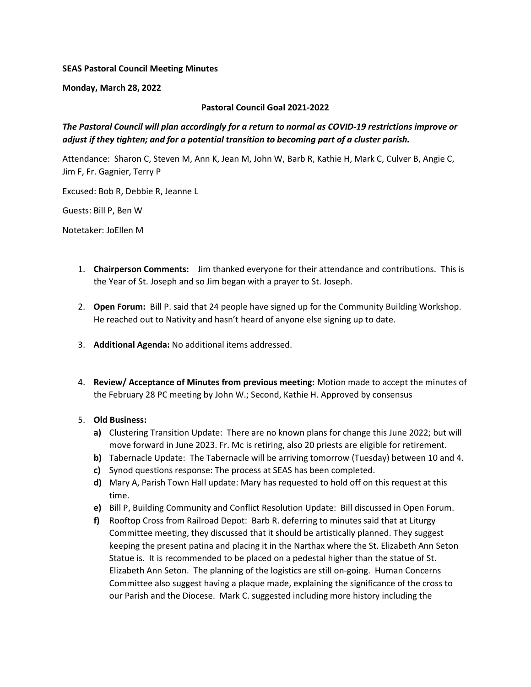### SEAS Pastoral Council Meeting Minutes

Monday, March 28, 2022

### Pastoral Council Goal 2021-2022

# The Pastoral Council will plan accordingly for a return to normal as COVID-19 restrictions improve or adjust if they tighten; and for a potential transition to becoming part of a cluster parish.

Attendance: Sharon C, Steven M, Ann K, Jean M, John W, Barb R, Kathie H, Mark C, Culver B, Angie C, Jim F, Fr. Gagnier, Terry P

Excused: Bob R, Debbie R, Jeanne L

Guests: Bill P, Ben W

Notetaker: JoEllen M

- 1. Chairperson Comments: Jim thanked everyone for their attendance and contributions. This is the Year of St. Joseph and so Jim began with a prayer to St. Joseph.
- 2. Open Forum: Bill P. said that 24 people have signed up for the Community Building Workshop. He reached out to Nativity and hasn't heard of anyone else signing up to date.
- 3. Additional Agenda: No additional items addressed.
- 4. Review/ Acceptance of Minutes from previous meeting: Motion made to accept the minutes of the February 28 PC meeting by John W.; Second, Kathie H. Approved by consensus

### 5. Old Business:

- a) Clustering Transition Update: There are no known plans for change this June 2022; but will move forward in June 2023. Fr. Mc is retiring, also 20 priests are eligible for retirement.
- b) Tabernacle Update: The Tabernacle will be arriving tomorrow (Tuesday) between 10 and 4.
- c) Synod questions response: The process at SEAS has been completed.
- d) Mary A, Parish Town Hall update: Mary has requested to hold off on this request at this time.
- e) Bill P, Building Community and Conflict Resolution Update: Bill discussed in Open Forum.
- f) Rooftop Cross from Railroad Depot: Barb R. deferring to minutes said that at Liturgy Committee meeting, they discussed that it should be artistically planned. They suggest keeping the present patina and placing it in the Narthax where the St. Elizabeth Ann Seton Statue is. It is recommended to be placed on a pedestal higher than the statue of St. Elizabeth Ann Seton. The planning of the logistics are still on-going. Human Concerns Committee also suggest having a plaque made, explaining the significance of the cross to our Parish and the Diocese. Mark C. suggested including more history including the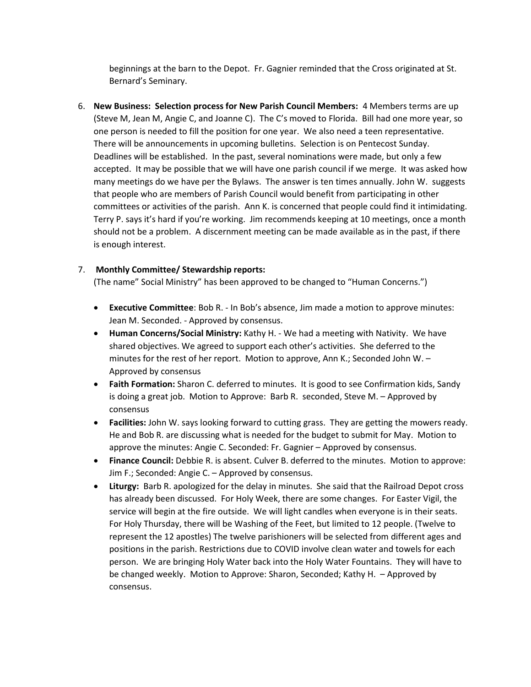beginnings at the barn to the Depot. Fr. Gagnier reminded that the Cross originated at St. Bernard's Seminary.

6. New Business: Selection process for New Parish Council Members: 4 Members terms are up (Steve M, Jean M, Angie C, and Joanne C). The C's moved to Florida. Bill had one more year, so one person is needed to fill the position for one year. We also need a teen representative. There will be announcements in upcoming bulletins. Selection is on Pentecost Sunday. Deadlines will be established. In the past, several nominations were made, but only a few accepted. It may be possible that we will have one parish council if we merge. It was asked how many meetings do we have per the Bylaws. The answer is ten times annually. John W. suggests that people who are members of Parish Council would benefit from participating in other committees or activities of the parish. Ann K. is concerned that people could find it intimidating. Terry P. says it's hard if you're working. Jim recommends keeping at 10 meetings, once a month should not be a problem. A discernment meeting can be made available as in the past, if there is enough interest.

## 7. Monthly Committee/ Stewardship reports:

(The name" Social Ministry" has been approved to be changed to "Human Concerns.")

- Executive Committee: Bob R. In Bob's absence, Jim made a motion to approve minutes: Jean M. Seconded. - Approved by consensus.
- Human Concerns/Social Ministry: Kathy H. We had a meeting with Nativity. We have shared objectives. We agreed to support each other's activities. She deferred to the minutes for the rest of her report. Motion to approve, Ann K.; Seconded John W. – Approved by consensus
- Faith Formation: Sharon C. deferred to minutes. It is good to see Confirmation kids, Sandy is doing a great job. Motion to Approve: Barb R. seconded, Steve M. – Approved by consensus
- Facilities: John W. says looking forward to cutting grass. They are getting the mowers ready. He and Bob R. are discussing what is needed for the budget to submit for May. Motion to approve the minutes: Angie C. Seconded: Fr. Gagnier – Approved by consensus.
- Finance Council: Debbie R. is absent. Culver B. deferred to the minutes. Motion to approve: Jim F.; Seconded: Angie C. – Approved by consensus.
- Liturgy: Barb R. apologized for the delay in minutes. She said that the Railroad Depot cross has already been discussed. For Holy Week, there are some changes. For Easter Vigil, the service will begin at the fire outside. We will light candles when everyone is in their seats. For Holy Thursday, there will be Washing of the Feet, but limited to 12 people. (Twelve to represent the 12 apostles) The twelve parishioners will be selected from different ages and positions in the parish. Restrictions due to COVID involve clean water and towels for each person. We are bringing Holy Water back into the Holy Water Fountains. They will have to be changed weekly. Motion to Approve: Sharon, Seconded; Kathy H. – Approved by consensus.